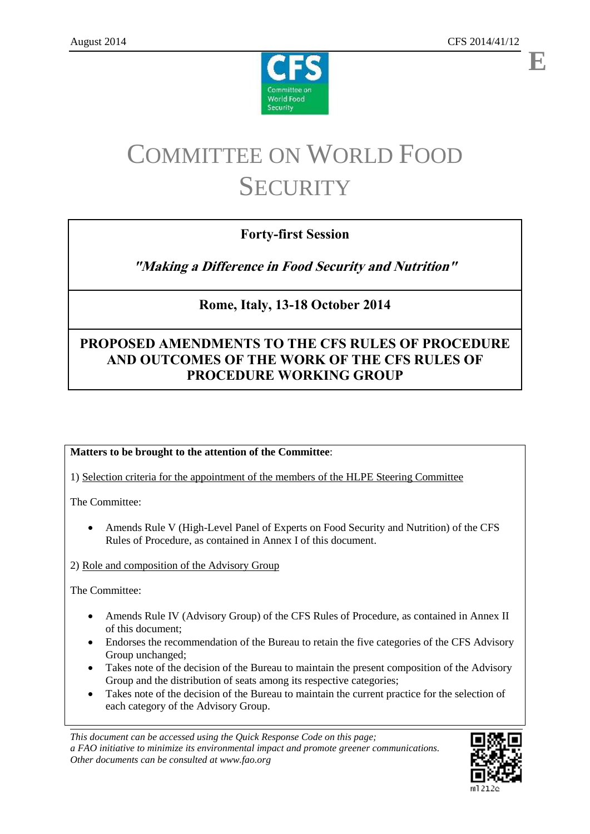



# COMMITTEE ON WORLD FOOD **SECURITY**

# **Forty-first Session**

**"Making a Difference in Food Security and Nutrition"**

# **Rome, Italy, 13-18 October 2014**

# **PROPOSED AMENDMENTS TO THE CFS RULES OF PROCEDURE AND OUTCOMES OF THE WORK OF THE CFS RULES OF PROCEDURE WORKING GROUP**

# **Matters to be brought to the attention of the Committee**:

1) Selection criteria for the appointment of the members of the HLPE Steering Committee

The Committee:

 Amends Rule V (High-Level Panel of Experts on Food Security and Nutrition) of the CFS Rules of Procedure, as contained in Annex I of this document.

# 2) Role and composition of the Advisory Group

The Committee:

- Amends Rule IV (Advisory Group) of the CFS Rules of Procedure, as contained in Annex II of this document;
- Endorses the recommendation of the Bureau to retain the five categories of the CFS Advisory Group unchanged;
- Takes note of the decision of the Bureau to maintain the present composition of the Advisory Group and the distribution of seats among its respective categories;
- Takes note of the decision of the Bureau to maintain the current practice for the selection of each category of the Advisory Group.

*This document can be accessed using the Quick Response Code on this page; a FAO initiative to minimize its environmental impact and promote greener communications. Other documents can be consulted at www.fao.org*

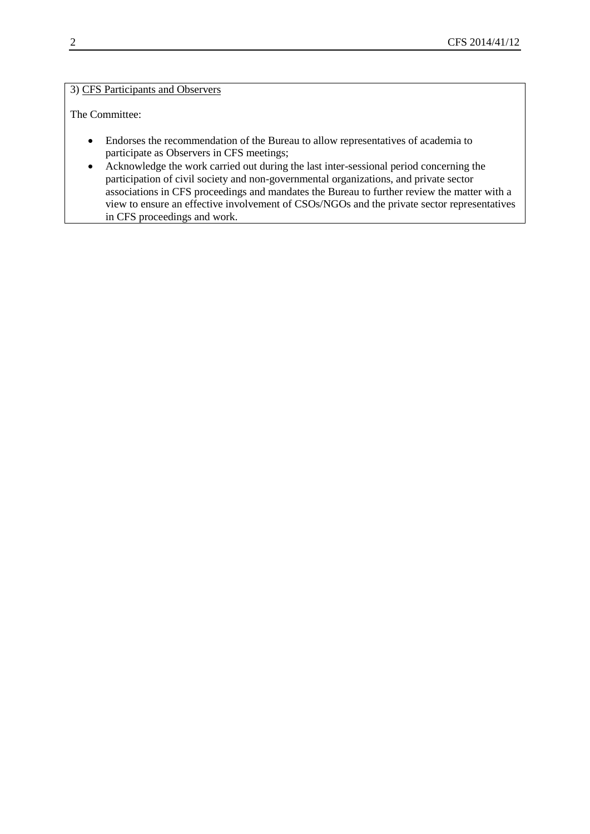## 3) CFS Participants and Observers

The Committee:

- Endorses the recommendation of the Bureau to allow representatives of academia to participate as Observers in CFS meetings;
- Acknowledge the work carried out during the last inter-sessional period concerning the participation of civil society and non-governmental organizations, and private sector associations in CFS proceedings and mandates the Bureau to further review the matter with a view to ensure an effective involvement of CSOs/NGOs and the private sector representatives in CFS proceedings and work.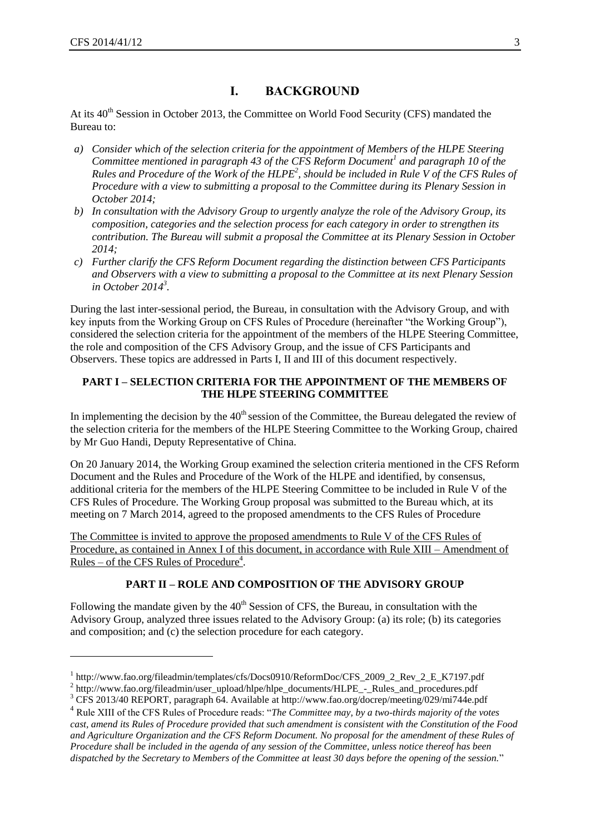$\overline{a}$ 

# **I. BACKGROUND**

At its  $40<sup>th</sup>$  Session in October 2013, the Committee on World Food Security (CFS) mandated the Bureau to:

- *a) Consider which of the selection criteria for the appointment of Members of the HLPE Steering Committee mentioned in paragraph 43 of the CFS Reform Document<sup>1</sup> and paragraph 10 of the Rules and Procedure of the Work of the HLPE<sup>2</sup> , should be included in Rule V of the CFS Rules of Procedure with a view to submitting a proposal to the Committee during its Plenary Session in October 2014;*
- *b) In consultation with the Advisory Group to urgently analyze the role of the Advisory Group, its composition, categories and the selection process for each category in order to strengthen its contribution. The Bureau will submit a proposal the Committee at its Plenary Session in October 2014;*
- *c) Further clarify the CFS Reform Document regarding the distinction between CFS Participants and Observers with a view to submitting a proposal to the Committee at its next Plenary Session in October 2014<sup>3</sup> .*

During the last inter-sessional period, the Bureau, in consultation with the Advisory Group, and with key inputs from the Working Group on CFS Rules of Procedure (hereinafter "the Working Group"), considered the selection criteria for the appointment of the members of the HLPE Steering Committee, the role and composition of the CFS Advisory Group, and the issue of CFS Participants and Observers. These topics are addressed in Parts I, II and III of this document respectively.

#### **PART I – SELECTION CRITERIA FOR THE APPOINTMENT OF THE MEMBERS OF THE HLPE STEERING COMMITTEE**

In implementing the decision by the  $40<sup>th</sup>$  session of the Committee, the Bureau delegated the review of the selection criteria for the members of the HLPE Steering Committee to the Working Group, chaired by Mr Guo Handi, Deputy Representative of China.

On 20 January 2014, the Working Group examined the selection criteria mentioned in the CFS Reform Document and the Rules and Procedure of the Work of the HLPE and identified, by consensus, additional criteria for the members of the HLPE Steering Committee to be included in Rule V of the CFS Rules of Procedure. The Working Group proposal was submitted to the Bureau which, at its meeting on 7 March 2014, agreed to the proposed amendments to the CFS Rules of Procedure

The Committee is invited to approve the proposed amendments to Rule V of the CFS Rules of Procedure, as contained in Annex I of this document, in accordance with Rule XIII – Amendment of <u>Rules – of the CFS Rules of Procedure<sup>4</sup></u>.

#### **PART II – ROLE AND COMPOSITION OF THE ADVISORY GROUP**

Following the mandate given by the  $40<sup>th</sup>$  Session of CFS, the Bureau, in consultation with the Advisory Group, analyzed three issues related to the Advisory Group: (a) its role; (b) its categories and composition; and (c) the selection procedure for each category.

<sup>&</sup>lt;sup>1</sup> [http://www.fao.org/fileadmin/templates/cfs/Docs0910/ReformDoc/CFS\\_2009\\_2\\_Rev\\_2\\_E\\_K7197.pdf](http://www.fao.org/fileadmin/templates/cfs/Docs0910/ReformDoc/CFS_2009_2_Rev_2_E_K7197.pdf)

<sup>&</sup>lt;sup>2</sup> [http://www.fao.org/fileadmin/user\\_upload/hlpe/hlpe\\_documents/HLPE\\_-\\_Rules\\_and\\_procedures.pdf](http://www.fao.org/fileadmin/user_upload/hlpe/hlpe_documents/HLPE_-_Rules_and_procedures.pdf)

<sup>3</sup> CFS 2013/40 REPORT, paragraph 64. Available at<http://www.fao.org/docrep/meeting/029/mi744e.pdf>

<sup>4</sup> Rule XIII of the CFS Rules of Procedure reads: "*The Committee may, by a two-thirds majority of the votes cast, amend its Rules of Procedure provided that such amendment is consistent with the Constitution of the Food and Agriculture Organization and the CFS Reform Document. No proposal for the amendment of these Rules of Procedure shall be included in the agenda of any session of the Committee, unless notice thereof has been dispatched by the Secretary to Members of the Committee at least 30 days before the opening of the session.*"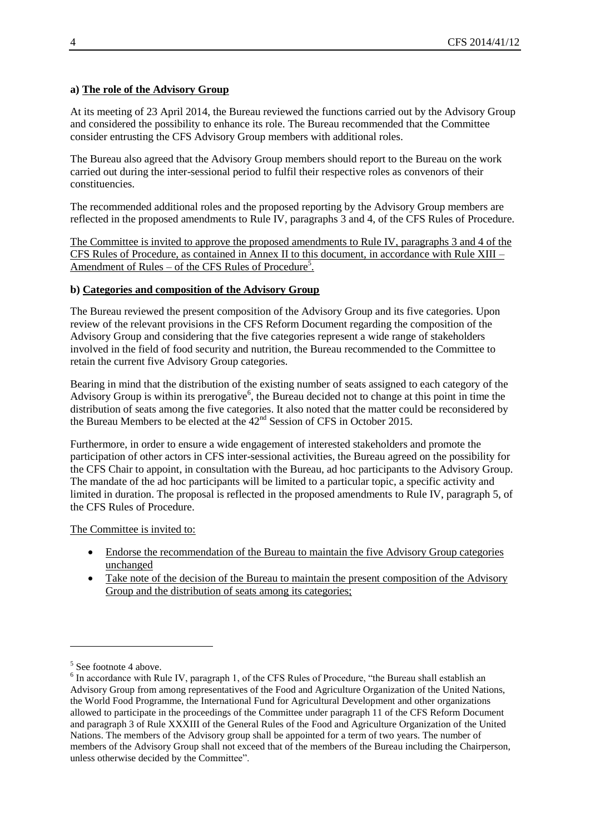## **a) The role of the Advisory Group**

At its meeting of 23 April 2014, the Bureau reviewed the functions carried out by the Advisory Group and considered the possibility to enhance its role. The Bureau recommended that the Committee consider entrusting the CFS Advisory Group members with additional roles.

The Bureau also agreed that the Advisory Group members should report to the Bureau on the work carried out during the inter-sessional period to fulfil their respective roles as convenors of their constituencies.

The recommended additional roles and the proposed reporting by the Advisory Group members are reflected in the proposed amendments to Rule IV, paragraphs 3 and 4, of the CFS Rules of Procedure.

The Committee is invited to approve the proposed amendments to Rule IV, paragraphs 3 and 4 of the CFS Rules of Procedure, as contained in Annex II to this document, in accordance with Rule XIII – Amendment of Rules – of the CFS Rules of Procedure<sup>5</sup>.

#### **b) Categories and composition of the Advisory Group**

The Bureau reviewed the present composition of the Advisory Group and its five categories. Upon review of the relevant provisions in the CFS Reform Document regarding the composition of the Advisory Group and considering that the five categories represent a wide range of stakeholders involved in the field of food security and nutrition, the Bureau recommended to the Committee to retain the current five Advisory Group categories.

Bearing in mind that the distribution of the existing number of seats assigned to each category of the Advisory Group is within its prerogative<sup>6</sup>, the Bureau decided not to change at this point in time the distribution of seats among the five categories. It also noted that the matter could be reconsidered by the Bureau Members to be elected at the  $42<sup>nd</sup>$  Session of CFS in October 2015.

Furthermore, in order to ensure a wide engagement of interested stakeholders and promote the participation of other actors in CFS inter-sessional activities, the Bureau agreed on the possibility for the CFS Chair to appoint, in consultation with the Bureau, ad hoc participants to the Advisory Group. The mandate of the ad hoc participants will be limited to a particular topic, a specific activity and limited in duration. The proposal is reflected in the proposed amendments to Rule IV, paragraph 5, of the CFS Rules of Procedure.

The Committee is invited to:

- Endorse the recommendation of the Bureau to maintain the five Advisory Group categories unchanged
- Take note of the decision of the Bureau to maintain the present composition of the Advisory Group and the distribution of seats among its categories;

 $\overline{a}$ 

<sup>&</sup>lt;sup>5</sup> See footnote 4 above.

<sup>&</sup>lt;sup>6</sup> In accordance with Rule IV, paragraph 1, of the CFS Rules of Procedure, "the Bureau shall establish an Advisory Group from among representatives of the Food and Agriculture Organization of the United Nations, the World Food Programme, the International Fund for Agricultural Development and other organizations allowed to participate in the proceedings of the Committee under paragraph 11 of the CFS Reform Document and paragraph 3 of Rule XXXIII of the General Rules of the Food and Agriculture Organization of the United Nations. The members of the Advisory group shall be appointed for a term of two years. The number of members of the Advisory Group shall not exceed that of the members of the Bureau including the Chairperson, unless otherwise decided by the Committee".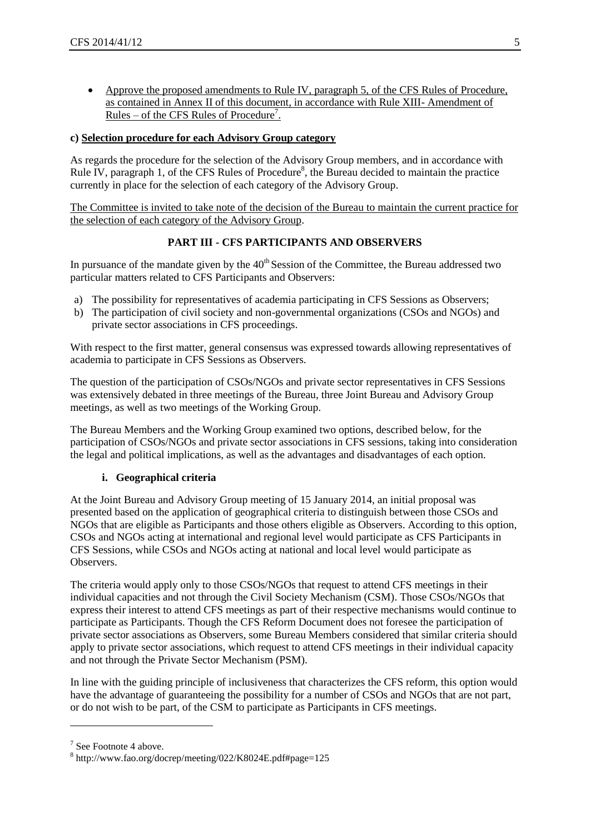Approve the proposed amendments to Rule IV, paragraph 5, of the CFS Rules of Procedure, as contained in Annex II of this document, in accordance with Rule XIII- Amendment of <u>Rules – of the CFS Rules of Procedure<sup>7</sup></u>.

## **c) Selection procedure for each Advisory Group category**

As regards the procedure for the selection of the Advisory Group members, and in accordance with Rule IV, paragraph 1, of the CFS Rules of Procedure<sup>8</sup>, the Bureau decided to maintain the practice currently in place for the selection of each category of the Advisory Group.

The Committee is invited to take note of the decision of the Bureau to maintain the current practice for the selection of each category of the Advisory Group.

## **PART III - CFS PARTICIPANTS AND OBSERVERS**

In pursuance of the mandate given by the  $40<sup>th</sup>$  Session of the Committee, the Bureau addressed two particular matters related to CFS Participants and Observers:

- a) The possibility for representatives of academia participating in CFS Sessions as Observers;
- b) The participation of civil society and non-governmental organizations (CSOs and NGOs) and private sector associations in CFS proceedings.

With respect to the first matter, general consensus was expressed towards allowing representatives of academia to participate in CFS Sessions as Observers.

The question of the participation of CSOs/NGOs and private sector representatives in CFS Sessions was extensively debated in three meetings of the Bureau, three Joint Bureau and Advisory Group meetings, as well as two meetings of the Working Group.

The Bureau Members and the Working Group examined two options, described below, for the participation of CSOs/NGOs and private sector associations in CFS sessions, taking into consideration the legal and political implications, as well as the advantages and disadvantages of each option.

#### **i. Geographical criteria**

At the Joint Bureau and Advisory Group meeting of 15 January 2014, an initial proposal was presented based on the application of geographical criteria to distinguish between those CSOs and NGOs that are eligible as Participants and those others eligible as Observers. According to this option, CSOs and NGOs acting at international and regional level would participate as CFS Participants in CFS Sessions, while CSOs and NGOs acting at national and local level would participate as Observers.

The criteria would apply only to those CSOs/NGOs that request to attend CFS meetings in their individual capacities and not through the Civil Society Mechanism (CSM). Those CSOs/NGOs that express their interest to attend CFS meetings as part of their respective mechanisms would continue to participate as Participants. Though the CFS Reform Document does not foresee the participation of private sector associations as Observers, some Bureau Members considered that similar criteria should apply to private sector associations, which request to attend CFS meetings in their individual capacity and not through the Private Sector Mechanism (PSM).

In line with the guiding principle of inclusiveness that characterizes the CFS reform, this option would have the advantage of guaranteeing the possibility for a number of CSOs and NGOs that are not part, or do not wish to be part, of the CSM to participate as Participants in CFS meetings.

l

<sup>&</sup>lt;sup>7</sup> See Footnote 4 above.

<sup>8</sup> <http://www.fao.org/docrep/meeting/022/K8024E.pdf#page=125>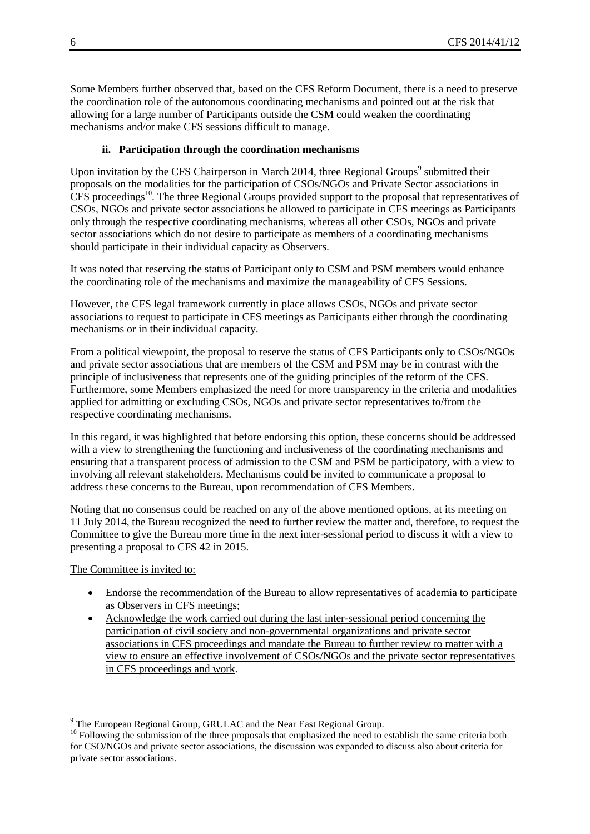Some Members further observed that, based on the CFS Reform Document, there is a need to preserve the coordination role of the autonomous coordinating mechanisms and pointed out at the risk that allowing for a large number of Participants outside the CSM could weaken the coordinating mechanisms and/or make CFS sessions difficult to manage.

## **ii. Participation through the coordination mechanisms**

Upon invitation by the CFS Chairperson in March 2014, three Regional Groups<sup>9</sup> submitted their proposals on the modalities for the participation of CSOs/NGOs and Private Sector associations in  $CFS$  proceedings<sup>10</sup>. The three Regional Groups provided support to the proposal that representatives of CSOs, NGOs and private sector associations be allowed to participate in CFS meetings as Participants only through the respective coordinating mechanisms, whereas all other CSOs, NGOs and private sector associations which do not desire to participate as members of a coordinating mechanisms should participate in their individual capacity as Observers.

It was noted that reserving the status of Participant only to CSM and PSM members would enhance the coordinating role of the mechanisms and maximize the manageability of CFS Sessions.

However, the CFS legal framework currently in place allows CSOs, NGOs and private sector associations to request to participate in CFS meetings as Participants either through the coordinating mechanisms or in their individual capacity.

From a political viewpoint, the proposal to reserve the status of CFS Participants only to CSOs/NGOs and private sector associations that are members of the CSM and PSM may be in contrast with the principle of inclusiveness that represents one of the guiding principles of the reform of the CFS. Furthermore, some Members emphasized the need for more transparency in the criteria and modalities applied for admitting or excluding CSOs, NGOs and private sector representatives to/from the respective coordinating mechanisms.

In this regard, it was highlighted that before endorsing this option, these concerns should be addressed with a view to strengthening the functioning and inclusiveness of the coordinating mechanisms and ensuring that a transparent process of admission to the CSM and PSM be participatory, with a view to involving all relevant stakeholders. Mechanisms could be invited to communicate a proposal to address these concerns to the Bureau, upon recommendation of CFS Members.

Noting that no consensus could be reached on any of the above mentioned options, at its meeting on 11 July 2014, the Bureau recognized the need to further review the matter and, therefore, to request the Committee to give the Bureau more time in the next inter-sessional period to discuss it with a view to presenting a proposal to CFS 42 in 2015.

The Committee is invited to:

l

- Endorse the recommendation of the Bureau to allow representatives of academia to participate as Observers in CFS meetings;
- Acknowledge the work carried out during the last inter-sessional period concerning the participation of civil society and non-governmental organizations and private sector associations in CFS proceedings and mandate the Bureau to further review to matter with a view to ensure an effective involvement of CSOs/NGOs and the private sector representatives in CFS proceedings and work.

<sup>9</sup> The European Regional Group, GRULAC and the Near East Regional Group.

<sup>&</sup>lt;sup>10</sup> Following the submission of the three proposals that emphasized the need to establish the same criteria both for CSO/NGOs and private sector associations, the discussion was expanded to discuss also about criteria for private sector associations.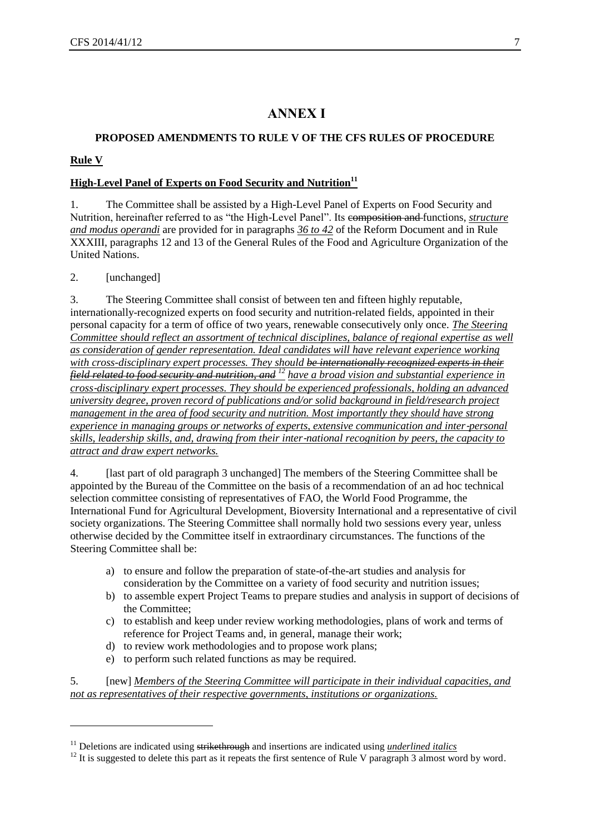# **ANNEX I**

# **PROPOSED AMENDMENTS TO RULE V OF THE CFS RULES OF PROCEDURE**

#### **Rule V**

l

## **High-Level Panel of Experts on Food Security and Nutrition<sup>11</sup>**

1. The Committee shall be assisted by a High-Level Panel of Experts on Food Security and Nutrition, hereinafter referred to as "the High-Level Panel". Its composition and functions, *structure and modus operandi* are provided for in paragraphs *36 to 42* of the Reform Document and in Rule XXXIII, paragraphs 12 and 13 of the General Rules of the Food and Agriculture Organization of the United Nations.

2. [unchanged]

3. The Steering Committee shall consist of between ten and fifteen highly reputable, internationally-recognized experts on food security and nutrition-related fields, appointed in their personal capacity for a term of office of two years, renewable consecutively only once. *The Steering Committee should reflect an assortment of technical disciplines, balance of regional expertise as well as consideration of gender representation. Ideal candidates will have relevant experience working with cross-disciplinary expert processes. They should be internationally recognized experts in their field related to food security and nutrition, and <sup>12</sup> have a broad vision and substantial experience in cross*‐*disciplinary expert processes. They should be experienced professionals, holding an advanced university degree, proven record of publications and/or solid background in field/research project management in the area of food security and nutrition. Most importantly they should have strong experience in managing groups or networks of experts, extensive communication and inter-personal skills, leadership skills, and, drawing from their inter*‐*national recognition by peers, the capacity to attract and draw expert networks.*

4. [last part of old paragraph 3 unchanged] The members of the Steering Committee shall be appointed by the Bureau of the Committee on the basis of a recommendation of an ad hoc technical selection committee consisting of representatives of FAO, the World Food Programme, the International Fund for Agricultural Development, Bioversity International and a representative of civil society organizations. The Steering Committee shall normally hold two sessions every year, unless otherwise decided by the Committee itself in extraordinary circumstances. The functions of the Steering Committee shall be:

- a) to ensure and follow the preparation of state-of-the-art studies and analysis for consideration by the Committee on a variety of food security and nutrition issues;
- b) to assemble expert Project Teams to prepare studies and analysis in support of decisions of the Committee;
- c) to establish and keep under review working methodologies, plans of work and terms of reference for Project Teams and, in general, manage their work;
- d) to review work methodologies and to propose work plans;
- e) to perform such related functions as may be required.

5. [new] *Members of the Steering Committee will participate in their individual capacities, and not as representatives of their respective governments, institutions or organizations.*

<sup>&</sup>lt;sup>11</sup> Deletions are indicated using strikethrough and insertions are indicated using *underlined italics* 

<sup>&</sup>lt;sup>12</sup> It is suggested to delete this part as it repeats the first sentence of Rule V paragraph 3 almost word by word.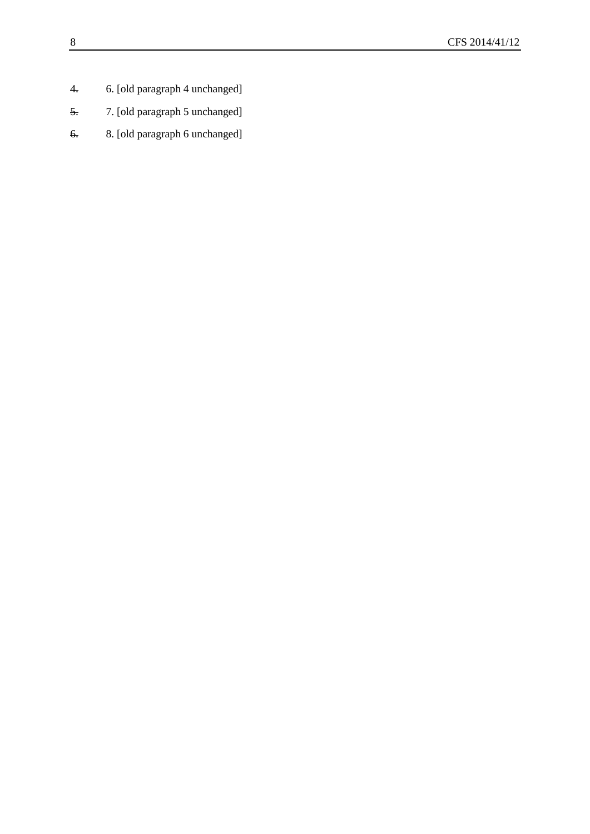- 4. 6. [old paragraph 4 unchanged]
- 5. 7. [old paragraph 5 unchanged]
- 6. 8. [old paragraph 6 unchanged]